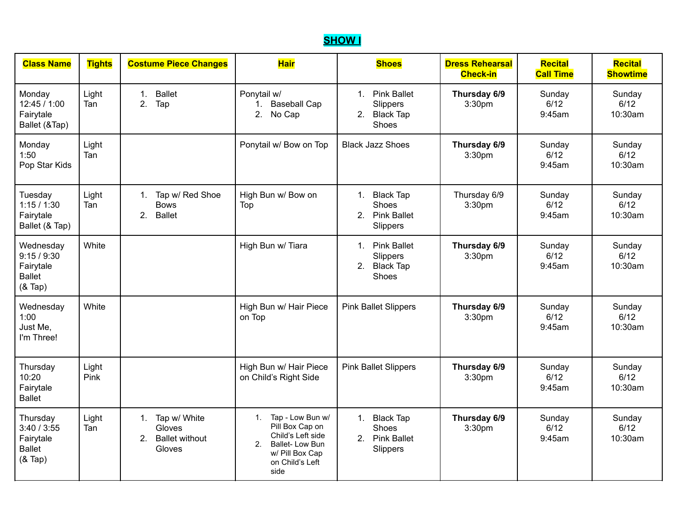## **SHOW I**

| <b>Class Name</b>                                                 | <b>Tights</b> | <b>Costume Piece Changes</b>                                                   | <b>Hair</b>                                                                                                                                             | <b>Shoes</b>                                                                            | <b>Dress Rehearsal</b><br><b>Check-in</b> | Recital<br><b>Call Time</b> | Recital<br><b>Showtime</b> |
|-------------------------------------------------------------------|---------------|--------------------------------------------------------------------------------|---------------------------------------------------------------------------------------------------------------------------------------------------------|-----------------------------------------------------------------------------------------|-------------------------------------------|-----------------------------|----------------------------|
| Monday<br>12:45 / 1:00<br>Fairytale<br>Ballet (&Tap)              | Light<br>Tan  | <b>Ballet</b><br>$\mathbf{1}$ .<br>2.<br>Tap                                   | Ponytail w/<br>1. Baseball Cap<br>2.<br>No Cap                                                                                                          | <b>Pink Ballet</b><br>$1_{\cdot}$<br>Slippers<br>2.<br><b>Black Tap</b><br><b>Shoes</b> | Thursday 6/9<br>3:30pm                    | Sunday<br>6/12<br>9:45am    | Sunday<br>6/12<br>10:30am  |
| Monday<br>1:50<br>Pop Star Kids                                   | Light<br>Tan  |                                                                                | Ponytail w/ Bow on Top                                                                                                                                  | <b>Black Jazz Shoes</b>                                                                 | Thursday 6/9<br>3:30pm                    | Sunday<br>6/12<br>9:45am    | Sunday<br>6/12<br>10:30am  |
| Tuesday<br>1:15/1:30<br>Fairytale<br>Ballet (& Tap)               | Light<br>Tan  | Tap w/ Red Shoe<br>1.<br><b>Bows</b><br><b>Ballet</b><br>2 <sub>1</sub>        | High Bun w/ Bow on<br>Top                                                                                                                               | 1. Black Tap<br>Shoes<br>2.<br><b>Pink Ballet</b><br>Slippers                           | Thursday 6/9<br>3:30pm                    | Sunday<br>6/12<br>9:45am    | Sunday<br>6/12<br>10:30am  |
| Wednesday<br>9:15/9:30<br>Fairytale<br><b>Ballet</b><br>$(8$ Tap) | White         |                                                                                | High Bun w/ Tiara                                                                                                                                       | 1. Pink Ballet<br>Slippers<br>2. Black Tap<br>Shoes                                     | Thursday 6/9<br>3:30pm                    | Sunday<br>6/12<br>9:45am    | Sunday<br>6/12<br>10:30am  |
| Wednesday<br>1:00<br>Just Me,<br>I'm Three!                       | White         |                                                                                | High Bun w/ Hair Piece<br>on Top                                                                                                                        | <b>Pink Ballet Slippers</b>                                                             | Thursday 6/9<br>3:30pm                    | Sunday<br>6/12<br>9:45am    | Sunday<br>6/12<br>10:30am  |
| Thursday<br>10:20<br>Fairytale<br><b>Ballet</b>                   | Light<br>Pink |                                                                                | High Bun w/ Hair Piece<br>on Child's Right Side                                                                                                         | <b>Pink Ballet Slippers</b>                                                             | Thursday 6/9<br>3:30pm                    | Sunday<br>6/12<br>9:45am    | Sunday<br>6/12<br>10:30am  |
| Thursday<br>3:40/3:55<br>Fairytale<br><b>Ballet</b><br>$(8$ Tap)  | Light<br>Tan  | Tap w/ White<br>1.<br>Gloves<br><b>Ballet without</b><br>$2^{\circ}$<br>Gloves | Tap - Low Bun w/<br>1.<br>Pill Box Cap on<br>Child's Left side<br>2 <sub>1</sub><br><b>Ballet-Low Bun</b><br>w/ Pill Box Cap<br>on Child's Left<br>side | <b>Black Tap</b><br>1.<br>Shoes<br>2.<br><b>Pink Ballet</b><br>Slippers                 | Thursday 6/9<br>3:30pm                    | Sunday<br>6/12<br>9:45am    | Sunday<br>6/12<br>10:30am  |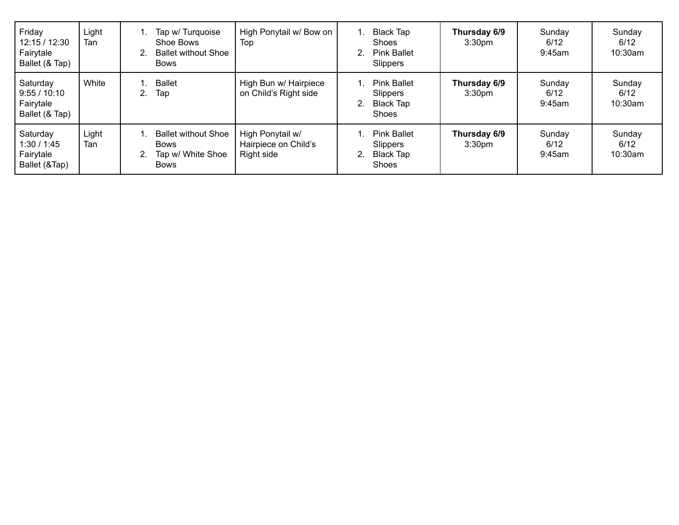| Friday<br>12:15/12:30<br>Fairytale<br>Ballet (& Tap)  | Light<br>Tan | Tap w/ Turquoise<br>Shoe Bows<br><b>Ballet without Shoe</b><br><b>Bows</b>    | High Ponytail w/ Bow on<br>Top                         | 1. | Black Tap<br><b>Shoes</b><br><b>Pink Ballet</b><br><b>Slippers</b> | Thursday 6/9<br>3:30 <sub>pm</sub> | Sunday<br>6/12<br>9:45am    | Sunday<br>6/12<br>10:30am |
|-------------------------------------------------------|--------------|-------------------------------------------------------------------------------|--------------------------------------------------------|----|--------------------------------------------------------------------|------------------------------------|-----------------------------|---------------------------|
| Saturday<br>9:55/10:10<br>Fairytale<br>Ballet (& Tap) | White        | <b>Ballet</b><br>Tap                                                          | High Bun w/ Hairpiece<br>on Child's Right side         |    | <b>Pink Ballet</b><br><b>Slippers</b><br>Black Tap<br><b>Shoes</b> | Thursday 6/9<br>3:30 <sub>pm</sub> | Sunday<br>6/12<br>$9:45$ am | Sunday<br>6/12<br>10:30am |
| Saturday<br>1:30/1:45<br>Fairytale<br>Ballet (&Tap)   | Light<br>Tan | <b>Ballet without Shoe</b><br><b>Bows</b><br>Tap w/ White Shoe<br><b>Bows</b> | High Ponytail w/<br>Hairpiece on Child's<br>Right side |    | <b>Pink Ballet</b><br>Slippers<br>Black Tap<br>Shoes               | Thursday 6/9<br>3:30 <sub>pm</sub> | Sunday<br>6/12<br>9:45am    | Sunday<br>6/12<br>10:30am |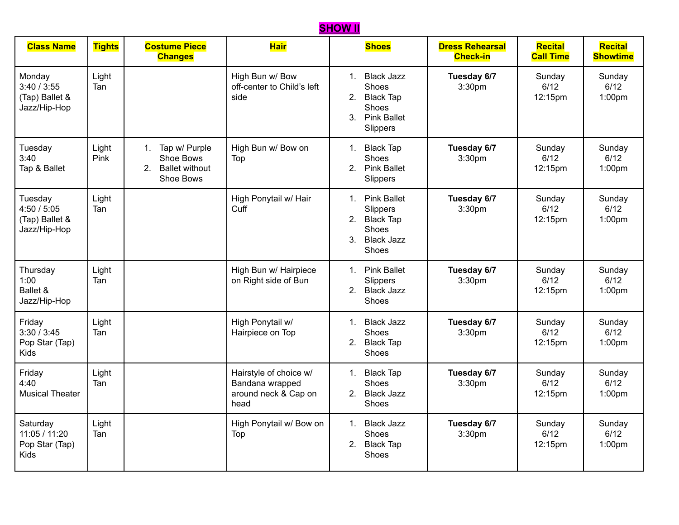## **SHOW II**

| <b>Class Name</b>                                      | <b>Tights</b> | <b>Costume Piece</b><br><b>Changes</b>                             | <b>Hair</b>                                                               | <b>Shoes</b>                                                                                                         | <b>Dress Rehearsal</b><br><b>Check-in</b> | <b>Recital</b><br><b>Call Time</b> | <b>Recital</b><br><b>Showtime</b>    |
|--------------------------------------------------------|---------------|--------------------------------------------------------------------|---------------------------------------------------------------------------|----------------------------------------------------------------------------------------------------------------------|-------------------------------------------|------------------------------------|--------------------------------------|
| Monday<br>3:40/3:55<br>(Tap) Ballet &<br>Jazz/Hip-Hop  | Light<br>Tan  |                                                                    | High Bun w/ Bow<br>off-center to Child's left<br>side                     | <b>Black Jazz</b><br>$1_{\cdot}$<br>Shoes<br>2.<br><b>Black Tap</b><br>Shoes<br><b>Pink Ballet</b><br>3.<br>Slippers | Tuesday 6/7<br>3:30pm                     | Sunday<br>6/12<br>12:15pm          | Sunday<br>6/12<br>1:00pm             |
| Tuesday<br>3:40<br>Tap & Ballet                        | Light<br>Pink | Tap w/ Purple<br>1.<br>Shoe Bows<br>2. Ballet without<br>Shoe Bows | High Bun w/ Bow on<br>Top                                                 | <b>Black Tap</b><br>1.<br>Shoes<br>2. Pink Ballet<br>Slippers                                                        | Tuesday 6/7<br>3:30pm                     | Sunday<br>6/12<br>12:15pm          | Sunday<br>6/12<br>1:00 <sub>pm</sub> |
| Tuesday<br>4:50/5:05<br>(Tap) Ballet &<br>Jazz/Hip-Hop | Light<br>Tan  |                                                                    | High Ponytail w/ Hair<br>Cuff                                             | 1. Pink Ballet<br>Slippers<br>2.<br><b>Black Tap</b><br>Shoes<br><b>Black Jazz</b><br>3.<br>Shoes                    | Tuesday 6/7<br>3:30pm                     | Sunday<br>6/12<br>12:15pm          | Sunday<br>6/12<br>1:00 <sub>pm</sub> |
| Thursday<br>1:00<br>Ballet &<br>Jazz/Hip-Hop           | Light<br>Tan  |                                                                    | High Bun w/ Hairpiece<br>on Right side of Bun                             | <b>Pink Ballet</b><br>$1_{\cdot}$<br>Slippers<br>2.<br><b>Black Jazz</b><br>Shoes                                    | Tuesday 6/7<br>3:30pm                     | Sunday<br>6/12<br>12:15pm          | Sunday<br>6/12<br>1:00pm             |
| Friday<br>3:30/3:45<br>Pop Star (Tap)<br><b>Kids</b>   | Light<br>Tan  |                                                                    | High Ponytail w/<br>Hairpiece on Top                                      | <b>Black Jazz</b><br>1.<br>Shoes<br>2.<br><b>Black Tap</b><br>Shoes                                                  | Tuesday 6/7<br>3:30pm                     | Sunday<br>6/12<br>12:15pm          | Sunday<br>6/12<br>1:00pm             |
| Friday<br>4:40<br><b>Musical Theater</b>               | Light<br>Tan  |                                                                    | Hairstyle of choice w/<br>Bandana wrapped<br>around neck & Cap on<br>head | <b>Black Tap</b><br>1.<br>Shoes<br>2. Black Jazz<br>Shoes                                                            | Tuesday 6/7<br>3:30pm                     | Sunday<br>6/12<br>12:15pm          | Sunday<br>6/12<br>1:00 <sub>pm</sub> |
| Saturday<br>11:05 / 11:20<br>Pop Star (Tap)<br>Kids    | Light<br>Tan  |                                                                    | High Ponytail w/ Bow on<br>Top                                            | <b>Black Jazz</b><br>$1_{\cdot}$<br>Shoes<br>2.<br><b>Black Tap</b><br>Shoes                                         | Tuesday 6/7<br>3:30pm                     | Sunday<br>6/12<br>12:15pm          | Sunday<br>6/12<br>1:00pm             |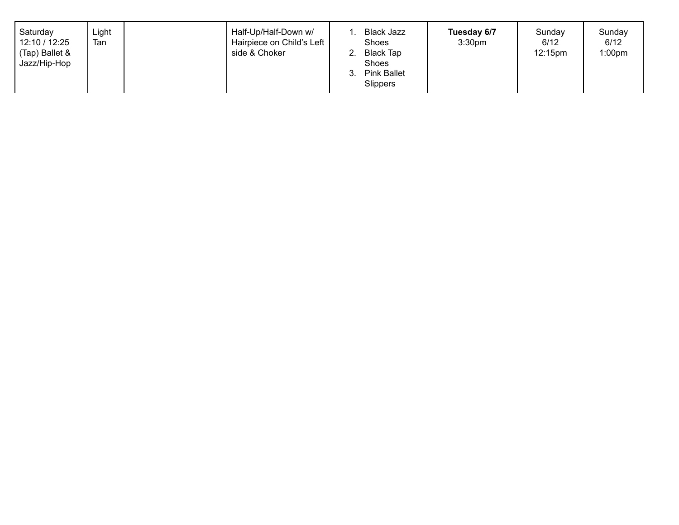| Saturday<br>12:10 / 12:25<br>(Tap) Ballet &<br>Jazz/Hip-Hop | Light<br>Tan |  | Half-Up/Half-Down w/<br>Hairpiece on Child's Left<br>side & Choker |  | <b>Black Jazz</b><br>Shoes<br><b>Black Tap</b><br>Shoes<br><b>Pink Ballet</b><br><b>Slippers</b> | Tuesday 6/7<br>3:30 <sub>pm</sub> | Sunday<br>6/12<br>12:15pm | Sunday<br>6/12<br>1:00 <sub>pm</sub> |
|-------------------------------------------------------------|--------------|--|--------------------------------------------------------------------|--|--------------------------------------------------------------------------------------------------|-----------------------------------|---------------------------|--------------------------------------|
|-------------------------------------------------------------|--------------|--|--------------------------------------------------------------------|--|--------------------------------------------------------------------------------------------------|-----------------------------------|---------------------------|--------------------------------------|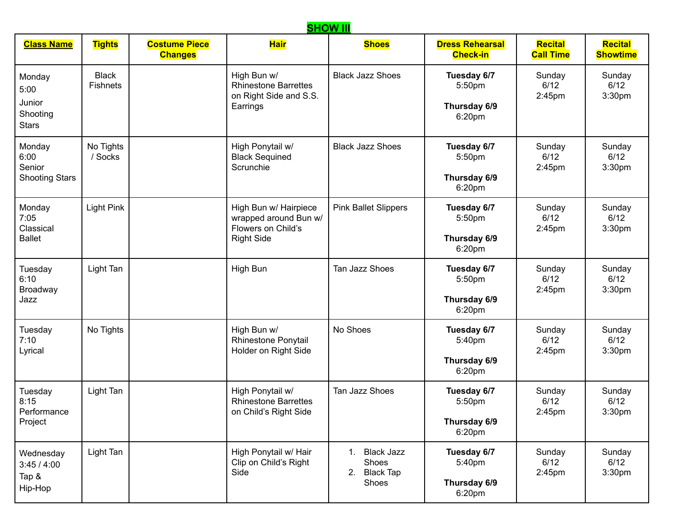## **Class Name Tights Costume Piece Changes Hair Shoes Dress Rehearsal Check-in Recital Call Time Recital Showtime** Monday 5:00 Junior Shooting **Stars Black Fishnets** High Bun w/ Rhinestone Barrettes on Right Side and S.S. **Earrings** Black Jazz Shoes **Tuesday 6/7** 5:50pm **Thursday 6/9** 6:20pm Sunday 6/12 2:45pm Sunday 6/12 3:30pm Monday 6:00 Senior Shooting Stars No Tights / Socks High Ponytail w/ Black Sequined **Scrunchie** Black Jazz Shoes **Tuesday 6/7** 5:50pm **Thursday 6/9** 6:20pm Sunday 6/12 2:45pm Sunday 6/12 3:30pm Monday 7:05 Classical **Ballet** Light Pink | High Bun w/ Hairpiece wrapped around Bun w/ Flowers on Child's Right Side Pink Ballet Slippers **Tuesday 6/7** 5:50pm **Thursday 6/9** 6:20pm Sunday 6/12 2:45pm Sunday 6/12 3:30pm Tuesday 6:10 Broadway Jazz Light Tan High Bun Tan Jazz Shoes **Tuesday 6/7** 5:50pm **Thursday 6/9** 6:20pm Sunday 6/12 2:45pm **Sundav** 6/12 3:30pm Tuesday 7:10 Lyrical No Tights  $\parallel$  High Bun w/ Rhinestone Ponytail Holder on Right Side No Shoes **Tuesday 6/7** 5:40pm **Thursday 6/9** 6:20pm Sunday 6/12 2:45pm Sunday 6/12 3:30pm **Tuesday** 8:15 **Performance** Project Light Tan | High Ponytail w/ Rhinestone Barrettes on Child's Right Side Tan Jazz Shoes **Tuesday 6/7** 5:50pm **Thursday 6/9** 6:20pm Sunday 6/12 2:45pm Sunday 6/12 3:30pm Wednesday 3:45 / 4:00 Tap & Hip-Hop Light Tan | High Ponytail w/ Hair Clip on Child's Right Side 1. Black Jazz **Shoes** 2. Black Tap Shoes **Tuesday 6/7** 5:40pm **Thursday 6/9** Sunday 6/12 2:45pm Sunday 6/12 3:30pm

6:20pm

**SHOW III**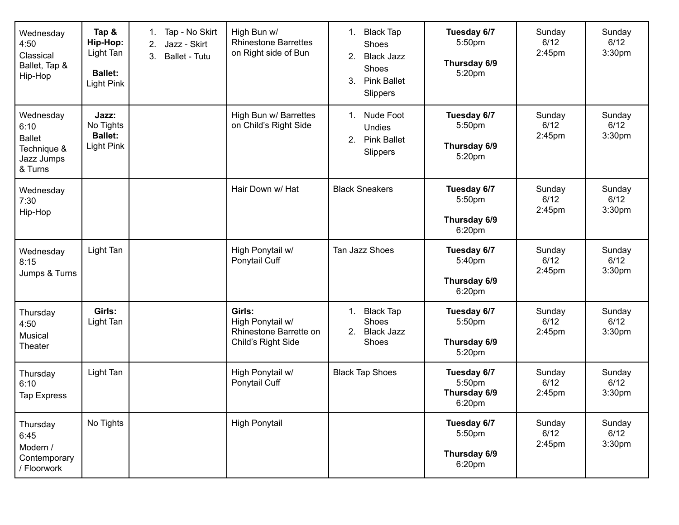| Wednesday<br>4:50<br>Classical<br>Ballet, Tap &<br>Hip-Hop                 | Tap &<br>Hip-Hop:<br>Light Tan<br><b>Ballet:</b><br><b>Light Pink</b> | Tap - No Skirt<br>1.<br>Jazz - Skirt<br>2.<br>3.<br><b>Ballet - Tutu</b> | High Bun w/<br><b>Rhinestone Barrettes</b><br>on Right side of Bun         | <b>Black Tap</b><br>1.<br>Shoes<br>2.<br><b>Black Jazz</b><br>Shoes<br>3.<br><b>Pink Ballet</b><br>Slippers | Tuesday 6/7<br>5:50pm<br>Thursday 6/9<br>5:20pm | Sunday<br>6/12<br>2:45pm    | Sunday<br>6/12<br>3:30pm             |
|----------------------------------------------------------------------------|-----------------------------------------------------------------------|--------------------------------------------------------------------------|----------------------------------------------------------------------------|-------------------------------------------------------------------------------------------------------------|-------------------------------------------------|-----------------------------|--------------------------------------|
| Wednesday<br>6:10<br><b>Ballet</b><br>Technique &<br>Jazz Jumps<br>& Turns | Jazz:<br>No Tights<br><b>Ballet:</b><br><b>Light Pink</b>             |                                                                          | High Bun w/ Barrettes<br>on Child's Right Side                             | Nude Foot<br>1.<br><b>Undies</b><br>2.<br><b>Pink Ballet</b><br>Slippers                                    | Tuesday 6/7<br>5:50pm<br>Thursday 6/9<br>5:20pm | Sunday<br>6/12<br>$2:45$ pm | Sunday<br>6/12<br>3:30 <sub>pm</sub> |
| Wednesday<br>7:30<br>Hip-Hop                                               |                                                                       |                                                                          | Hair Down w/ Hat                                                           | <b>Black Sneakers</b>                                                                                       | Tuesday 6/7<br>5:50pm<br>Thursday 6/9<br>6:20pm | Sunday<br>6/12<br>$2:45$ pm | Sunday<br>6/12<br>3:30pm             |
| Wednesday<br>8:15<br>Jumps & Turns                                         | Light Tan                                                             |                                                                          | High Ponytail w/<br>Ponytail Cuff                                          | Tan Jazz Shoes                                                                                              | Tuesday 6/7<br>5:40pm<br>Thursday 6/9<br>6:20pm | Sunday<br>6/12<br>$2:45$ pm | Sunday<br>6/12<br>3:30 <sub>pm</sub> |
| Thursday<br>4:50<br>Musical<br>Theater                                     | Girls:<br>Light Tan                                                   |                                                                          | Girls:<br>High Ponytail w/<br>Rhinestone Barrette on<br>Child's Right Side | <b>Black Tap</b><br>1.<br>Shoes<br>2.<br><b>Black Jazz</b><br>Shoes                                         | Tuesday 6/7<br>5:50pm<br>Thursday 6/9<br>5:20pm | Sunday<br>6/12<br>$2:45$ pm | Sunday<br>6/12<br>3:30 <sub>pm</sub> |
| Thursday<br>6:10<br>Tap Express                                            | Light Tan                                                             |                                                                          | High Ponytail w/<br>Ponytail Cuff                                          | <b>Black Tap Shoes</b>                                                                                      | Tuesday 6/7<br>5:50pm<br>Thursday 6/9<br>6:20pm | Sunday<br>6/12<br>$2:45$ pm | Sunday<br>6/12<br>3:30pm             |
| Thursday<br>6:45<br>Modern /<br>Contemporary<br>/ Floorwork                | No Tights                                                             |                                                                          | <b>High Ponytail</b>                                                       |                                                                                                             | Tuesday 6/7<br>5:50pm<br>Thursday 6/9<br>6:20pm | Sunday<br>6/12<br>2:45pm    | Sunday<br>6/12<br>3:30pm             |